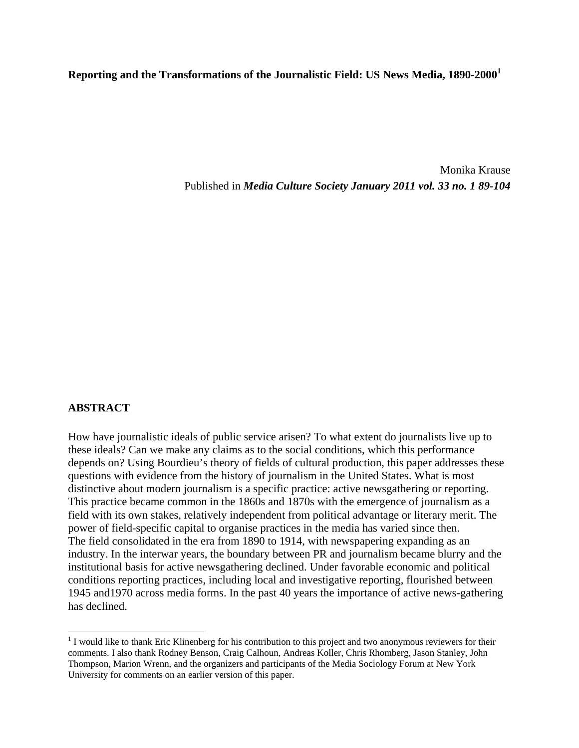**Reporting and the Transformations of the Journalistic Field: US News Media, 1890-20001**

Monika Krause Published in *Media Culture Society January 2011 vol. 33 no. 1 89-104*

# **ABSTRACT**

 $\overline{a}$ 

How have journalistic ideals of public service arisen? To what extent do journalists live up to these ideals? Can we make any claims as to the social conditions, which this performance depends on? Using Bourdieu's theory of fields of cultural production, this paper addresses these questions with evidence from the history of journalism in the United States. What is most distinctive about modern journalism is a specific practice: active newsgathering or reporting. This practice became common in the 1860s and 1870s with the emergence of journalism as a field with its own stakes, relatively independent from political advantage or literary merit. The power of field-specific capital to organise practices in the media has varied since then. The field consolidated in the era from 1890 to 1914, with newspapering expanding as an industry. In the interwar years, the boundary between PR and journalism became blurry and the institutional basis for active newsgathering declined. Under favorable economic and political conditions reporting practices, including local and investigative reporting, flourished between 1945 and1970 across media forms. In the past 40 years the importance of active news-gathering has declined.

 $1$  I would like to thank Eric Klinenberg for his contribution to this project and two anonymous reviewers for their comments. I also thank Rodney Benson, Craig Calhoun, Andreas Koller, Chris Rhomberg, Jason Stanley, John Thompson, Marion Wrenn, and the organizers and participants of the Media Sociology Forum at New York University for comments on an earlier version of this paper.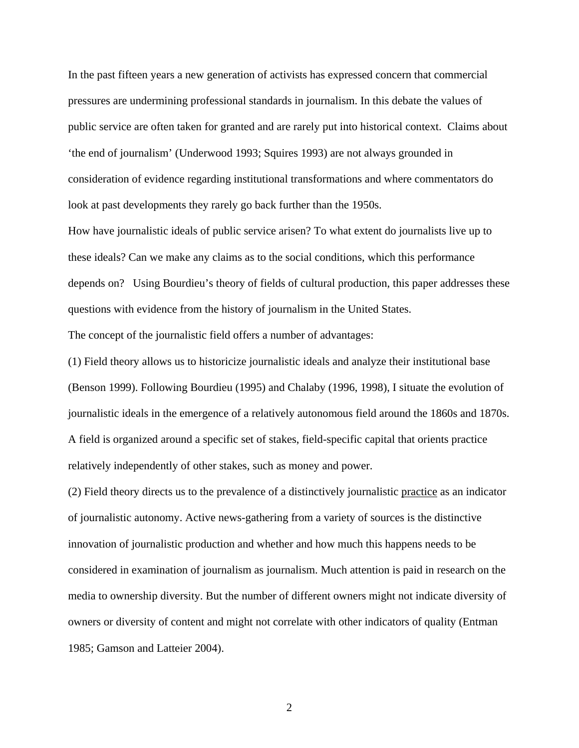In the past fifteen years a new generation of activists has expressed concern that commercial pressures are undermining professional standards in journalism. In this debate the values of public service are often taken for granted and are rarely put into historical context. Claims about 'the end of journalism' (Underwood 1993; Squires 1993) are not always grounded in consideration of evidence regarding institutional transformations and where commentators do look at past developments they rarely go back further than the 1950s.

How have journalistic ideals of public service arisen? To what extent do journalists live up to these ideals? Can we make any claims as to the social conditions, which this performance depends on? Using Bourdieu's theory of fields of cultural production, this paper addresses these questions with evidence from the history of journalism in the United States.

The concept of the journalistic field offers a number of advantages:

(1) Field theory allows us to historicize journalistic ideals and analyze their institutional base (Benson 1999). Following Bourdieu (1995) and Chalaby (1996, 1998), I situate the evolution of journalistic ideals in the emergence of a relatively autonomous field around the 1860s and 1870s. A field is organized around a specific set of stakes, field-specific capital that orients practice relatively independently of other stakes, such as money and power.

(2) Field theory directs us to the prevalence of a distinctively journalistic practice as an indicator of journalistic autonomy. Active news-gathering from a variety of sources is the distinctive innovation of journalistic production and whether and how much this happens needs to be considered in examination of journalism as journalism. Much attention is paid in research on the media to ownership diversity. But the number of different owners might not indicate diversity of owners or diversity of content and might not correlate with other indicators of quality (Entman 1985; Gamson and Latteier 2004).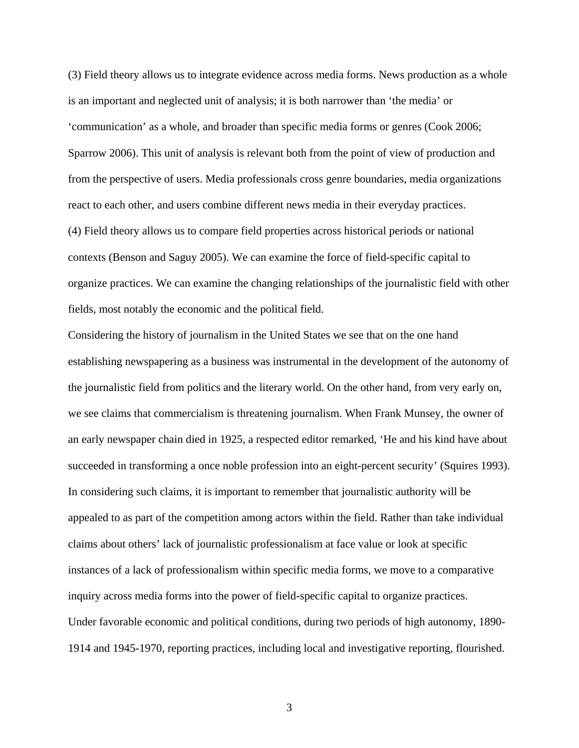(3) Field theory allows us to integrate evidence across media forms. News production as a whole is an important and neglected unit of analysis; it is both narrower than 'the media' or 'communication' as a whole, and broader than specific media forms or genres (Cook 2006; Sparrow 2006). This unit of analysis is relevant both from the point of view of production and from the perspective of users. Media professionals cross genre boundaries, media organizations react to each other, and users combine different news media in their everyday practices. (4) Field theory allows us to compare field properties across historical periods or national contexts (Benson and Saguy 2005). We can examine the force of field-specific capital to organize practices. We can examine the changing relationships of the journalistic field with other fields, most notably the economic and the political field.

Considering the history of journalism in the United States we see that on the one hand establishing newspapering as a business was instrumental in the development of the autonomy of the journalistic field from politics and the literary world. On the other hand, from very early on, we see claims that commercialism is threatening journalism. When Frank Munsey, the owner of an early newspaper chain died in 1925, a respected editor remarked, 'He and his kind have about succeeded in transforming a once noble profession into an eight-percent security' (Squires 1993). In considering such claims, it is important to remember that journalistic authority will be appealed to as part of the competition among actors within the field. Rather than take individual claims about others' lack of journalistic professionalism at face value or look at specific instances of a lack of professionalism within specific media forms, we move to a comparative inquiry across media forms into the power of field-specific capital to organize practices. Under favorable economic and political conditions, during two periods of high autonomy, 1890- 1914 and 1945-1970, reporting practices, including local and investigative reporting, flourished.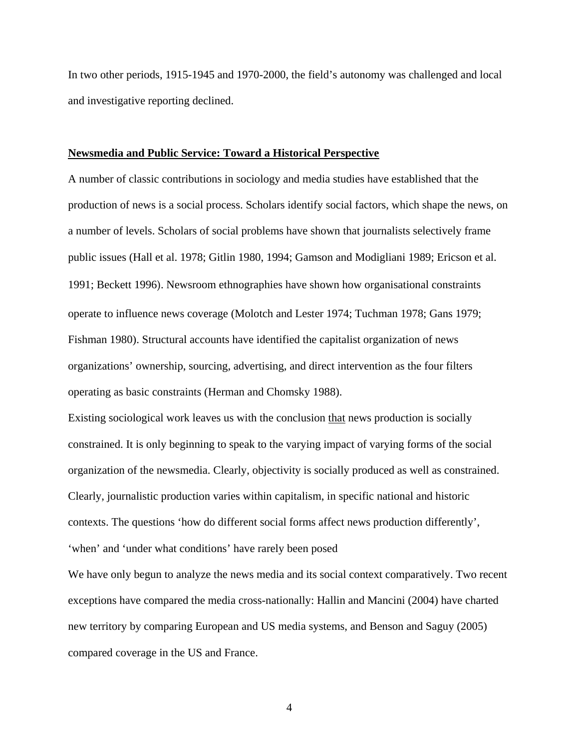In two other periods, 1915-1945 and 1970-2000, the field's autonomy was challenged and local and investigative reporting declined.

# **Newsmedia and Public Service: Toward a Historical Perspective**

A number of classic contributions in sociology and media studies have established that the production of news is a social process. Scholars identify social factors, which shape the news, on a number of levels. Scholars of social problems have shown that journalists selectively frame public issues (Hall et al. 1978; Gitlin 1980, 1994; Gamson and Modigliani 1989; Ericson et al. 1991; Beckett 1996). Newsroom ethnographies have shown how organisational constraints operate to influence news coverage (Molotch and Lester 1974; Tuchman 1978; Gans 1979; Fishman 1980). Structural accounts have identified the capitalist organization of news organizations' ownership, sourcing, advertising, and direct intervention as the four filters operating as basic constraints (Herman and Chomsky 1988).

Existing sociological work leaves us with the conclusion that news production is socially constrained. It is only beginning to speak to the varying impact of varying forms of the social organization of the newsmedia. Clearly, objectivity is socially produced as well as constrained. Clearly, journalistic production varies within capitalism, in specific national and historic contexts. The questions 'how do different social forms affect news production differently', 'when' and 'under what conditions' have rarely been posed

We have only begun to analyze the news media and its social context comparatively. Two recent exceptions have compared the media cross-nationally: Hallin and Mancini (2004) have charted new territory by comparing European and US media systems, and Benson and Saguy (2005) compared coverage in the US and France.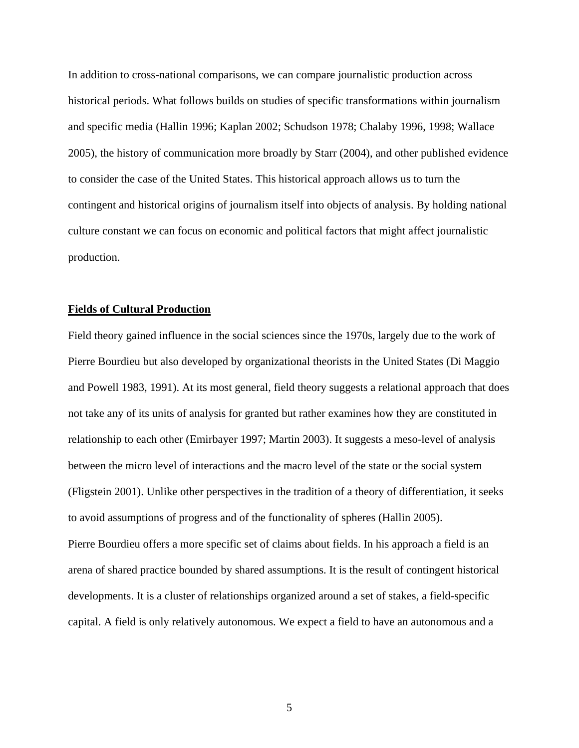In addition to cross-national comparisons, we can compare journalistic production across historical periods. What follows builds on studies of specific transformations within journalism and specific media (Hallin 1996; Kaplan 2002; Schudson 1978; Chalaby 1996, 1998; Wallace 2005), the history of communication more broadly by Starr (2004), and other published evidence to consider the case of the United States. This historical approach allows us to turn the contingent and historical origins of journalism itself into objects of analysis. By holding national culture constant we can focus on economic and political factors that might affect journalistic production.

## **Fields of Cultural Production**

Field theory gained influence in the social sciences since the 1970s, largely due to the work of Pierre Bourdieu but also developed by organizational theorists in the United States (Di Maggio and Powell 1983, 1991). At its most general, field theory suggests a relational approach that does not take any of its units of analysis for granted but rather examines how they are constituted in relationship to each other (Emirbayer 1997; Martin 2003). It suggests a meso-level of analysis between the micro level of interactions and the macro level of the state or the social system (Fligstein 2001). Unlike other perspectives in the tradition of a theory of differentiation, it seeks to avoid assumptions of progress and of the functionality of spheres (Hallin 2005). Pierre Bourdieu offers a more specific set of claims about fields. In his approach a field is an arena of shared practice bounded by shared assumptions. It is the result of contingent historical developments. It is a cluster of relationships organized around a set of stakes, a field-specific

capital. A field is only relatively autonomous. We expect a field to have an autonomous and a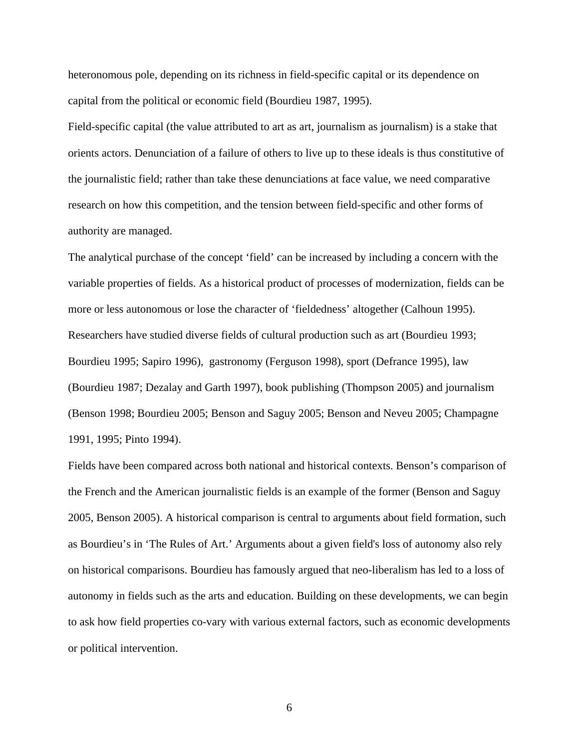heteronomous pole, depending on its richness in field-specific capital or its dependence on capital from the political or economic field (Bourdieu 1987, 1995).

Field-specific capital (the value attributed to art as art, journalism as journalism) is a stake that orients actors. Denunciation of a failure of others to live up to these ideals is thus constitutive of the journalistic field; rather than take these denunciations at face value, we need comparative research on how this competition, and the tension between field-specific and other forms of authority are managed.

The analytical purchase of the concept 'field' can be increased by including a concern with the variable properties of fields. As a historical product of processes of modernization, fields can be more or less autonomous or lose the character of 'fieldedness' altogether (Calhoun 1995). Researchers have studied diverse fields of cultural production such as art (Bourdieu 1993; Bourdieu 1995; Sapiro 1996), gastronomy (Ferguson 1998), sport (Defrance 1995), law (Bourdieu 1987; Dezalay and Garth 1997), book publishing (Thompson 2005) and journalism (Benson 1998; Bourdieu 2005; Benson and Saguy 2005; Benson and Neveu 2005; Champagne 1991, 1995; Pinto 1994).

Fields have been compared across both national and historical contexts. Benson's comparison of the French and the American journalistic fields is an example of the former (Benson and Saguy 2005, Benson 2005). A historical comparison is central to arguments about field formation, such as Bourdieu's in 'The Rules of Art.' Arguments about a given field's loss of autonomy also rely on historical comparisons. Bourdieu has famously argued that neo-liberalism has led to a loss of autonomy in fields such as the arts and education. Building on these developments, we can begin to ask how field properties co-vary with various external factors, such as economic developments or political intervention.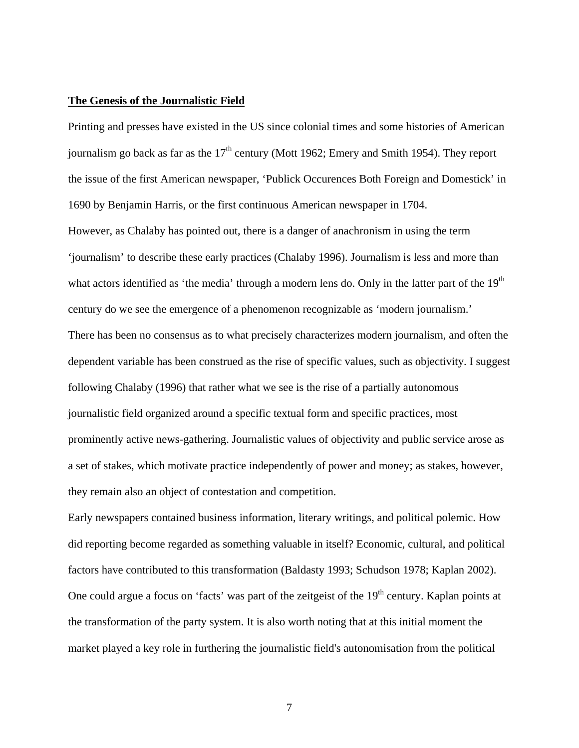# **The Genesis of the Journalistic Field**

Printing and presses have existed in the US since colonial times and some histories of American journalism go back as far as the  $17<sup>th</sup>$  century (Mott 1962; Emery and Smith 1954). They report the issue of the first American newspaper, 'Publick Occurences Both Foreign and Domestick' in 1690 by Benjamin Harris, or the first continuous American newspaper in 1704.

However, as Chalaby has pointed out, there is a danger of anachronism in using the term 'journalism' to describe these early practices (Chalaby 1996). Journalism is less and more than what actors identified as 'the media' through a modern lens do. Only in the latter part of the 19<sup>th</sup> century do we see the emergence of a phenomenon recognizable as 'modern journalism.' There has been no consensus as to what precisely characterizes modern journalism, and often the dependent variable has been construed as the rise of specific values, such as objectivity. I suggest following Chalaby (1996) that rather what we see is the rise of a partially autonomous journalistic field organized around a specific textual form and specific practices, most prominently active news-gathering. Journalistic values of objectivity and public service arose as a set of stakes, which motivate practice independently of power and money; as stakes, however, they remain also an object of contestation and competition.

Early newspapers contained business information, literary writings, and political polemic. How did reporting become regarded as something valuable in itself? Economic, cultural, and political factors have contributed to this transformation (Baldasty 1993; Schudson 1978; Kaplan 2002). One could argue a focus on 'facts' was part of the zeitgeist of the 19<sup>th</sup> century. Kaplan points at the transformation of the party system. It is also worth noting that at this initial moment the market played a key role in furthering the journalistic field's autonomisation from the political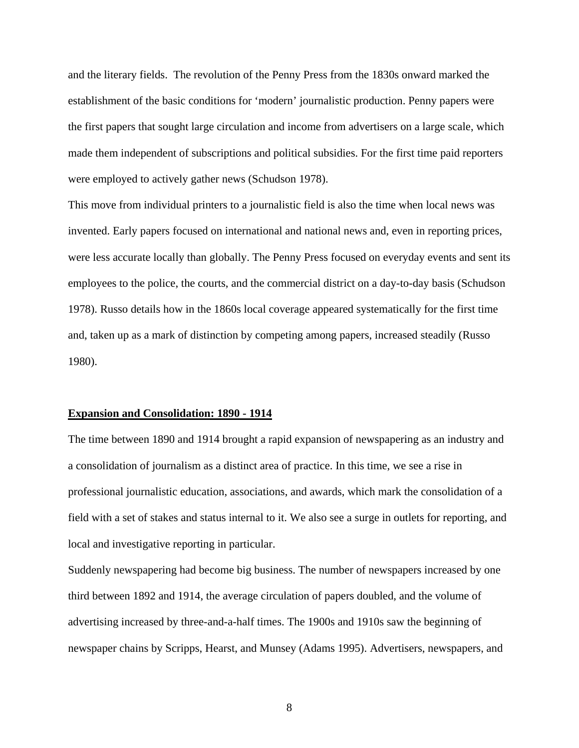and the literary fields. The revolution of the Penny Press from the 1830s onward marked the establishment of the basic conditions for 'modern' journalistic production. Penny papers were the first papers that sought large circulation and income from advertisers on a large scale, which made them independent of subscriptions and political subsidies. For the first time paid reporters were employed to actively gather news (Schudson 1978).

This move from individual printers to a journalistic field is also the time when local news was invented. Early papers focused on international and national news and, even in reporting prices, were less accurate locally than globally. The Penny Press focused on everyday events and sent its employees to the police, the courts, and the commercial district on a day-to-day basis (Schudson 1978). Russo details how in the 1860s local coverage appeared systematically for the first time and, taken up as a mark of distinction by competing among papers, increased steadily (Russo 1980).

## **Expansion and Consolidation: 1890 - 1914**

The time between 1890 and 1914 brought a rapid expansion of newspapering as an industry and a consolidation of journalism as a distinct area of practice. In this time, we see a rise in professional journalistic education, associations, and awards, which mark the consolidation of a field with a set of stakes and status internal to it. We also see a surge in outlets for reporting, and local and investigative reporting in particular.

Suddenly newspapering had become big business. The number of newspapers increased by one third between 1892 and 1914, the average circulation of papers doubled, and the volume of advertising increased by three-and-a-half times. The 1900s and 1910s saw the beginning of newspaper chains by Scripps, Hearst, and Munsey (Adams 1995). Advertisers, newspapers, and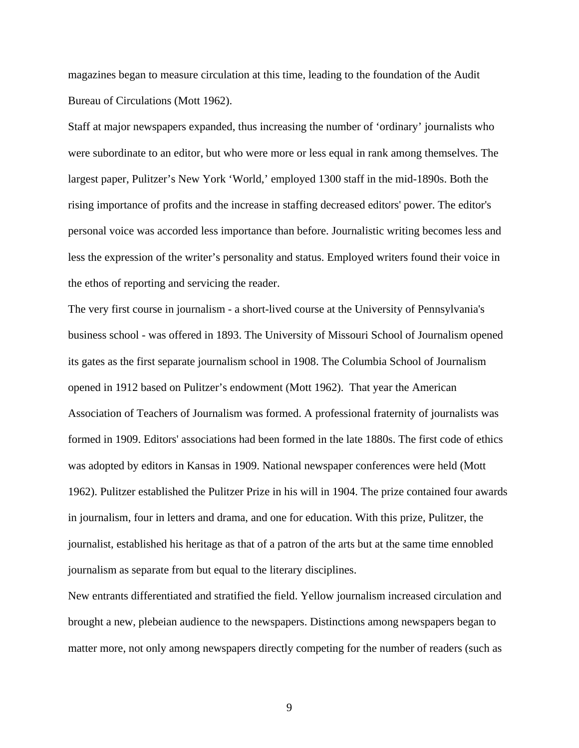magazines began to measure circulation at this time, leading to the foundation of the Audit Bureau of Circulations (Mott 1962).

Staff at major newspapers expanded, thus increasing the number of 'ordinary' journalists who were subordinate to an editor, but who were more or less equal in rank among themselves. The largest paper, Pulitzer's New York 'World,' employed 1300 staff in the mid-1890s. Both the rising importance of profits and the increase in staffing decreased editors' power. The editor's personal voice was accorded less importance than before. Journalistic writing becomes less and less the expression of the writer's personality and status. Employed writers found their voice in the ethos of reporting and servicing the reader.

The very first course in journalism - a short-lived course at the University of Pennsylvania's business school - was offered in 1893. The University of Missouri School of Journalism opened its gates as the first separate journalism school in 1908. The Columbia School of Journalism opened in 1912 based on Pulitzer's endowment (Mott 1962). That year the American Association of Teachers of Journalism was formed. A professional fraternity of journalists was formed in 1909. Editors' associations had been formed in the late 1880s. The first code of ethics was adopted by editors in Kansas in 1909. National newspaper conferences were held (Mott 1962). Pulitzer established the Pulitzer Prize in his will in 1904. The prize contained four awards in journalism, four in letters and drama, and one for education. With this prize, Pulitzer, the journalist, established his heritage as that of a patron of the arts but at the same time ennobled journalism as separate from but equal to the literary disciplines.

New entrants differentiated and stratified the field. Yellow journalism increased circulation and brought a new, plebeian audience to the newspapers. Distinctions among newspapers began to matter more, not only among newspapers directly competing for the number of readers (such as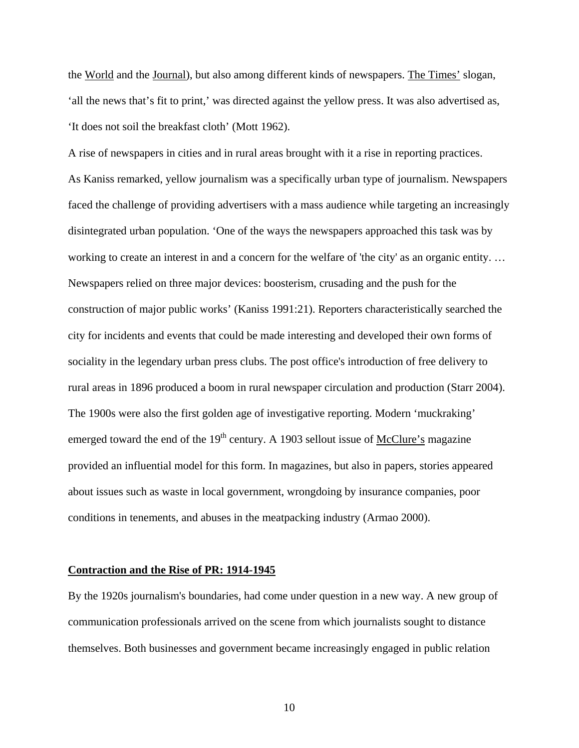the World and the Journal), but also among different kinds of newspapers. The Times' slogan, 'all the news that's fit to print,' was directed against the yellow press. It was also advertised as, 'It does not soil the breakfast cloth' (Mott 1962).

A rise of newspapers in cities and in rural areas brought with it a rise in reporting practices. As Kaniss remarked, yellow journalism was a specifically urban type of journalism. Newspapers faced the challenge of providing advertisers with a mass audience while targeting an increasingly disintegrated urban population. 'One of the ways the newspapers approached this task was by working to create an interest in and a concern for the welfare of 'the city' as an organic entity. … Newspapers relied on three major devices: boosterism, crusading and the push for the construction of major public works' (Kaniss 1991:21). Reporters characteristically searched the city for incidents and events that could be made interesting and developed their own forms of sociality in the legendary urban press clubs. The post office's introduction of free delivery to rural areas in 1896 produced a boom in rural newspaper circulation and production (Starr 2004). The 1900s were also the first golden age of investigative reporting. Modern 'muckraking' emerged toward the end of the  $19<sup>th</sup>$  century. A 1903 sellout issue of McClure's magazine provided an influential model for this form. In magazines, but also in papers, stories appeared about issues such as waste in local government, wrongdoing by insurance companies, poor conditions in tenements, and abuses in the meatpacking industry (Armao 2000).

## **Contraction and the Rise of PR: 1914-1945**

By the 1920s journalism's boundaries, had come under question in a new way. A new group of communication professionals arrived on the scene from which journalists sought to distance themselves. Both businesses and government became increasingly engaged in public relation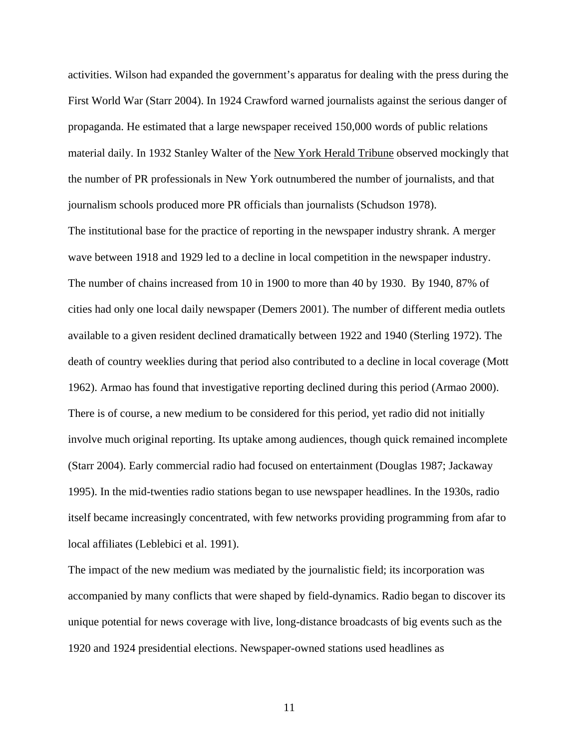activities. Wilson had expanded the government's apparatus for dealing with the press during the First World War (Starr 2004). In 1924 Crawford warned journalists against the serious danger of propaganda. He estimated that a large newspaper received 150,000 words of public relations material daily. In 1932 Stanley Walter of the New York Herald Tribune observed mockingly that the number of PR professionals in New York outnumbered the number of journalists, and that journalism schools produced more PR officials than journalists (Schudson 1978).

The institutional base for the practice of reporting in the newspaper industry shrank. A merger wave between 1918 and 1929 led to a decline in local competition in the newspaper industry. The number of chains increased from 10 in 1900 to more than 40 by 1930. By 1940, 87% of cities had only one local daily newspaper (Demers 2001). The number of different media outlets available to a given resident declined dramatically between 1922 and 1940 (Sterling 1972). The death of country weeklies during that period also contributed to a decline in local coverage (Mott 1962). Armao has found that investigative reporting declined during this period (Armao 2000). There is of course, a new medium to be considered for this period, yet radio did not initially involve much original reporting. Its uptake among audiences, though quick remained incomplete (Starr 2004). Early commercial radio had focused on entertainment (Douglas 1987; Jackaway 1995). In the mid-twenties radio stations began to use newspaper headlines. In the 1930s, radio itself became increasingly concentrated, with few networks providing programming from afar to local affiliates (Leblebici et al. 1991).

The impact of the new medium was mediated by the journalistic field; its incorporation was accompanied by many conflicts that were shaped by field-dynamics. Radio began to discover its unique potential for news coverage with live, long-distance broadcasts of big events such as the 1920 and 1924 presidential elections. Newspaper-owned stations used headlines as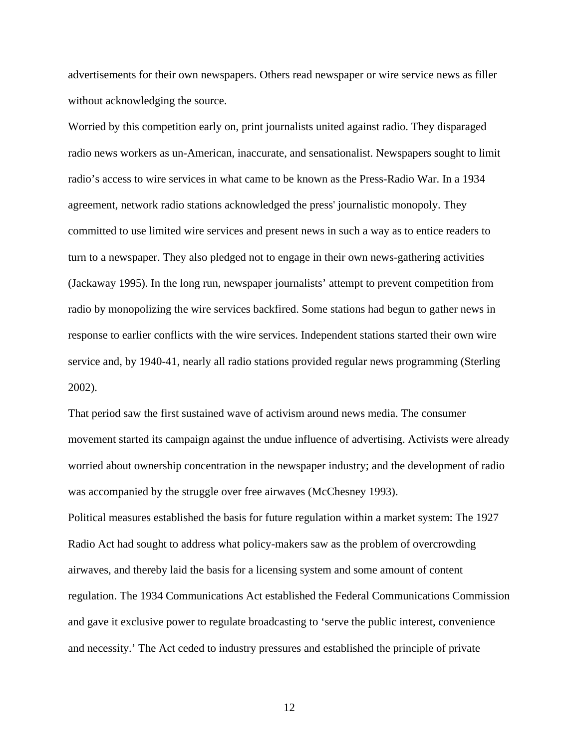advertisements for their own newspapers. Others read newspaper or wire service news as filler without acknowledging the source.

Worried by this competition early on, print journalists united against radio. They disparaged radio news workers as un-American, inaccurate, and sensationalist. Newspapers sought to limit radio's access to wire services in what came to be known as the Press-Radio War. In a 1934 agreement, network radio stations acknowledged the press' journalistic monopoly. They committed to use limited wire services and present news in such a way as to entice readers to turn to a newspaper. They also pledged not to engage in their own news-gathering activities (Jackaway 1995). In the long run, newspaper journalists' attempt to prevent competition from radio by monopolizing the wire services backfired. Some stations had begun to gather news in response to earlier conflicts with the wire services. Independent stations started their own wire service and, by 1940-41, nearly all radio stations provided regular news programming (Sterling 2002).

That period saw the first sustained wave of activism around news media. The consumer movement started its campaign against the undue influence of advertising. Activists were already worried about ownership concentration in the newspaper industry; and the development of radio was accompanied by the struggle over free airwaves (McChesney 1993).

Political measures established the basis for future regulation within a market system: The 1927 Radio Act had sought to address what policy-makers saw as the problem of overcrowding airwaves, and thereby laid the basis for a licensing system and some amount of content regulation. The 1934 Communications Act established the Federal Communications Commission and gave it exclusive power to regulate broadcasting to 'serve the public interest, convenience and necessity.' The Act ceded to industry pressures and established the principle of private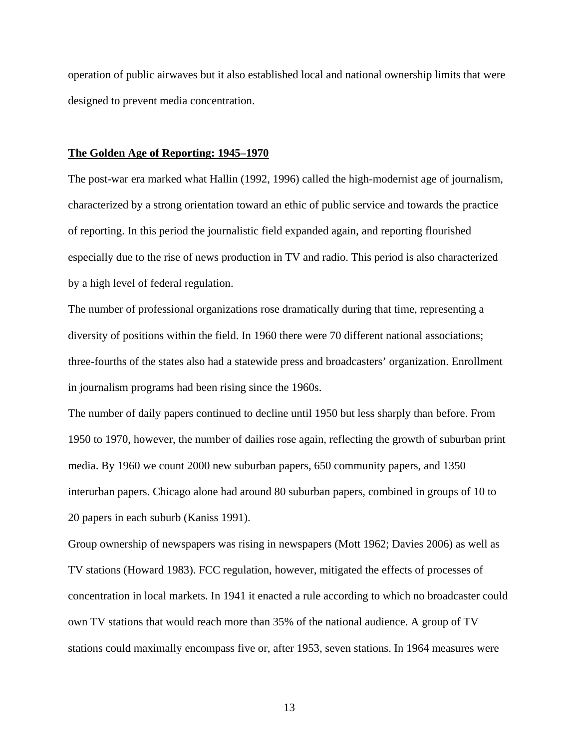operation of public airwaves but it also established local and national ownership limits that were designed to prevent media concentration.

## **The Golden Age of Reporting: 1945–1970**

The post-war era marked what Hallin (1992, 1996) called the high-modernist age of journalism, characterized by a strong orientation toward an ethic of public service and towards the practice of reporting. In this period the journalistic field expanded again, and reporting flourished especially due to the rise of news production in TV and radio. This period is also characterized by a high level of federal regulation.

The number of professional organizations rose dramatically during that time, representing a diversity of positions within the field. In 1960 there were 70 different national associations; three-fourths of the states also had a statewide press and broadcasters' organization. Enrollment in journalism programs had been rising since the 1960s.

The number of daily papers continued to decline until 1950 but less sharply than before. From 1950 to 1970, however, the number of dailies rose again, reflecting the growth of suburban print media. By 1960 we count 2000 new suburban papers, 650 community papers, and 1350 interurban papers. Chicago alone had around 80 suburban papers, combined in groups of 10 to 20 papers in each suburb (Kaniss 1991).

Group ownership of newspapers was rising in newspapers (Mott 1962; Davies 2006) as well as TV stations (Howard 1983). FCC regulation, however, mitigated the effects of processes of concentration in local markets. In 1941 it enacted a rule according to which no broadcaster could own TV stations that would reach more than 35% of the national audience. A group of TV stations could maximally encompass five or, after 1953, seven stations. In 1964 measures were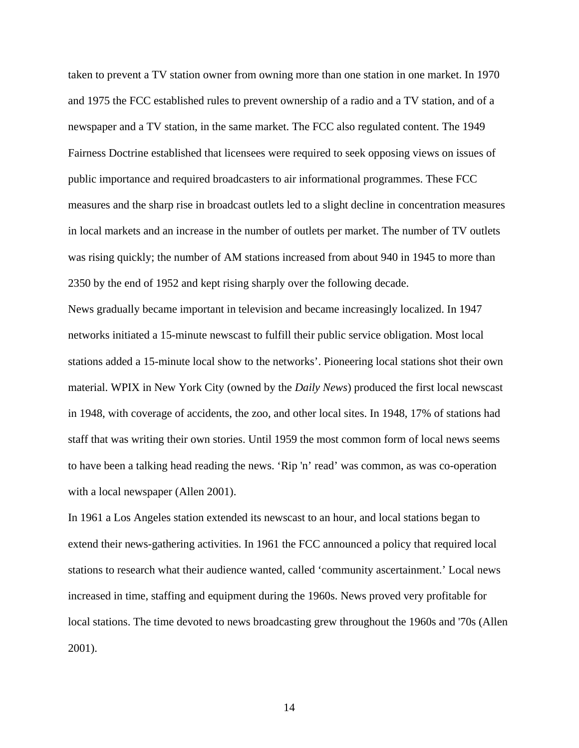taken to prevent a TV station owner from owning more than one station in one market. In 1970 and 1975 the FCC established rules to prevent ownership of a radio and a TV station, and of a newspaper and a TV station, in the same market. The FCC also regulated content. The 1949 Fairness Doctrine established that licensees were required to seek opposing views on issues of public importance and required broadcasters to air informational programmes. These FCC measures and the sharp rise in broadcast outlets led to a slight decline in concentration measures in local markets and an increase in the number of outlets per market. The number of TV outlets was rising quickly; the number of AM stations increased from about 940 in 1945 to more than 2350 by the end of 1952 and kept rising sharply over the following decade.

News gradually became important in television and became increasingly localized. In 1947 networks initiated a 15-minute newscast to fulfill their public service obligation. Most local stations added a 15-minute local show to the networks'. Pioneering local stations shot their own material. WPIX in New York City (owned by the *Daily News*) produced the first local newscast in 1948, with coverage of accidents, the zoo, and other local sites. In 1948, 17% of stations had staff that was writing their own stories. Until 1959 the most common form of local news seems to have been a talking head reading the news. 'Rip 'n' read' was common, as was co-operation with a local newspaper (Allen 2001).

In 1961 a Los Angeles station extended its newscast to an hour, and local stations began to extend their news-gathering activities. In 1961 the FCC announced a policy that required local stations to research what their audience wanted, called 'community ascertainment.' Local news increased in time, staffing and equipment during the 1960s. News proved very profitable for local stations. The time devoted to news broadcasting grew throughout the 1960s and '70s (Allen 2001).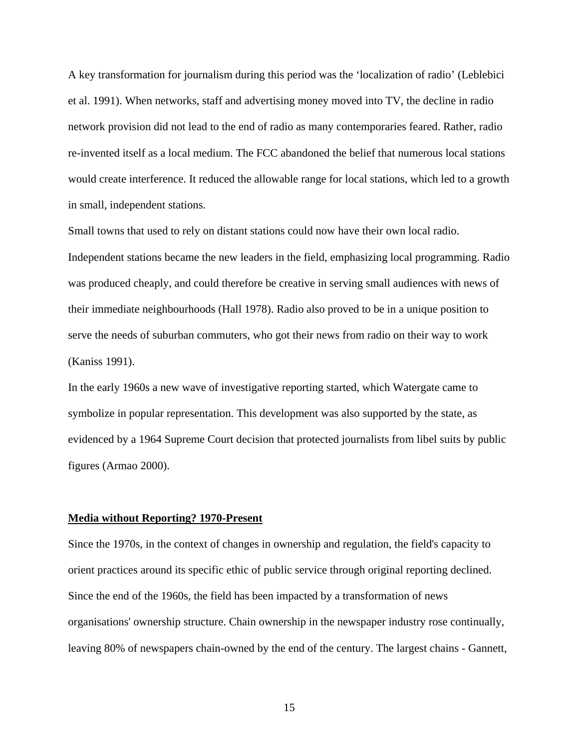A key transformation for journalism during this period was the 'localization of radio' (Leblebici et al. 1991). When networks, staff and advertising money moved into TV, the decline in radio network provision did not lead to the end of radio as many contemporaries feared. Rather, radio re-invented itself as a local medium. The FCC abandoned the belief that numerous local stations would create interference. It reduced the allowable range for local stations, which led to a growth in small, independent stations.

Small towns that used to rely on distant stations could now have their own local radio. Independent stations became the new leaders in the field, emphasizing local programming. Radio was produced cheaply, and could therefore be creative in serving small audiences with news of their immediate neighbourhoods (Hall 1978). Radio also proved to be in a unique position to serve the needs of suburban commuters, who got their news from radio on their way to work (Kaniss 1991).

In the early 1960s a new wave of investigative reporting started, which Watergate came to symbolize in popular representation. This development was also supported by the state, as evidenced by a 1964 Supreme Court decision that protected journalists from libel suits by public figures (Armao 2000).

# **Media without Reporting? 1970-Present**

Since the 1970s, in the context of changes in ownership and regulation, the field's capacity to orient practices around its specific ethic of public service through original reporting declined. Since the end of the 1960s, the field has been impacted by a transformation of news organisations' ownership structure. Chain ownership in the newspaper industry rose continually, leaving 80% of newspapers chain-owned by the end of the century. The largest chains - Gannett,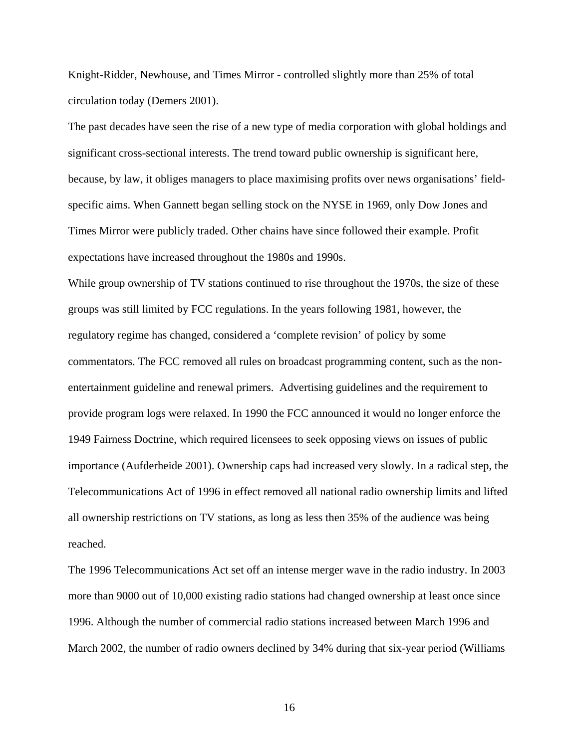Knight-Ridder, Newhouse, and Times Mirror - controlled slightly more than 25% of total circulation today (Demers 2001).

The past decades have seen the rise of a new type of media corporation with global holdings and significant cross-sectional interests. The trend toward public ownership is significant here, because, by law, it obliges managers to place maximising profits over news organisations' fieldspecific aims. When Gannett began selling stock on the NYSE in 1969, only Dow Jones and Times Mirror were publicly traded. Other chains have since followed their example. Profit expectations have increased throughout the 1980s and 1990s.

While group ownership of TV stations continued to rise throughout the 1970s, the size of these groups was still limited by FCC regulations. In the years following 1981, however, the regulatory regime has changed, considered a 'complete revision' of policy by some commentators. The FCC removed all rules on broadcast programming content, such as the nonentertainment guideline and renewal primers. Advertising guidelines and the requirement to provide program logs were relaxed. In 1990 the FCC announced it would no longer enforce the 1949 Fairness Doctrine, which required licensees to seek opposing views on issues of public importance (Aufderheide 2001). Ownership caps had increased very slowly. In a radical step, the Telecommunications Act of 1996 in effect removed all national radio ownership limits and lifted all ownership restrictions on TV stations, as long as less then 35% of the audience was being reached.

The 1996 Telecommunications Act set off an intense merger wave in the radio industry. In 2003 more than 9000 out of 10,000 existing radio stations had changed ownership at least once since 1996. Although the number of commercial radio stations increased between March 1996 and March 2002, the number of radio owners declined by 34% during that six-year period (Williams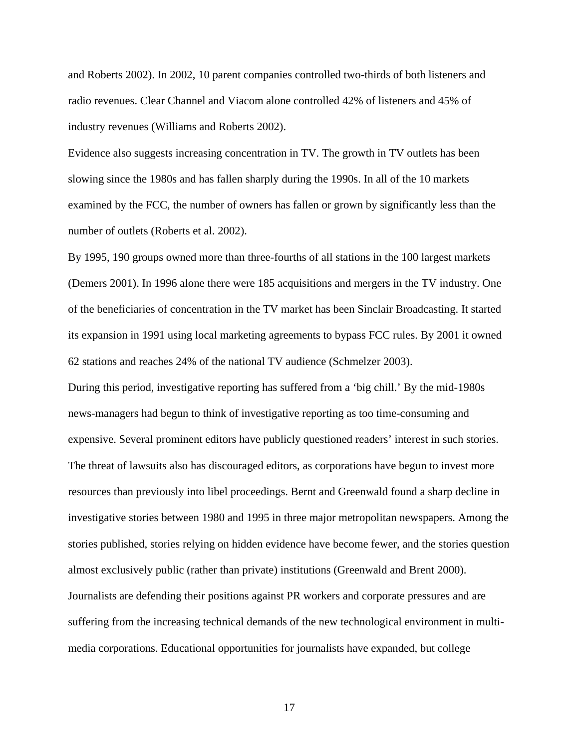and Roberts 2002). In 2002, 10 parent companies controlled two-thirds of both listeners and radio revenues. Clear Channel and Viacom alone controlled 42% of listeners and 45% of industry revenues (Williams and Roberts 2002).

Evidence also suggests increasing concentration in TV. The growth in TV outlets has been slowing since the 1980s and has fallen sharply during the 1990s. In all of the 10 markets examined by the FCC, the number of owners has fallen or grown by significantly less than the number of outlets (Roberts et al. 2002).

By 1995, 190 groups owned more than three-fourths of all stations in the 100 largest markets (Demers 2001). In 1996 alone there were 185 acquisitions and mergers in the TV industry. One of the beneficiaries of concentration in the TV market has been Sinclair Broadcasting. It started its expansion in 1991 using local marketing agreements to bypass FCC rules. By 2001 it owned 62 stations and reaches 24% of the national TV audience (Schmelzer 2003).

During this period, investigative reporting has suffered from a 'big chill.' By the mid-1980s news-managers had begun to think of investigative reporting as too time-consuming and expensive. Several prominent editors have publicly questioned readers' interest in such stories. The threat of lawsuits also has discouraged editors, as corporations have begun to invest more resources than previously into libel proceedings. Bernt and Greenwald found a sharp decline in investigative stories between 1980 and 1995 in three major metropolitan newspapers. Among the stories published, stories relying on hidden evidence have become fewer, and the stories question almost exclusively public (rather than private) institutions (Greenwald and Brent 2000). Journalists are defending their positions against PR workers and corporate pressures and are suffering from the increasing technical demands of the new technological environment in multimedia corporations. Educational opportunities for journalists have expanded, but college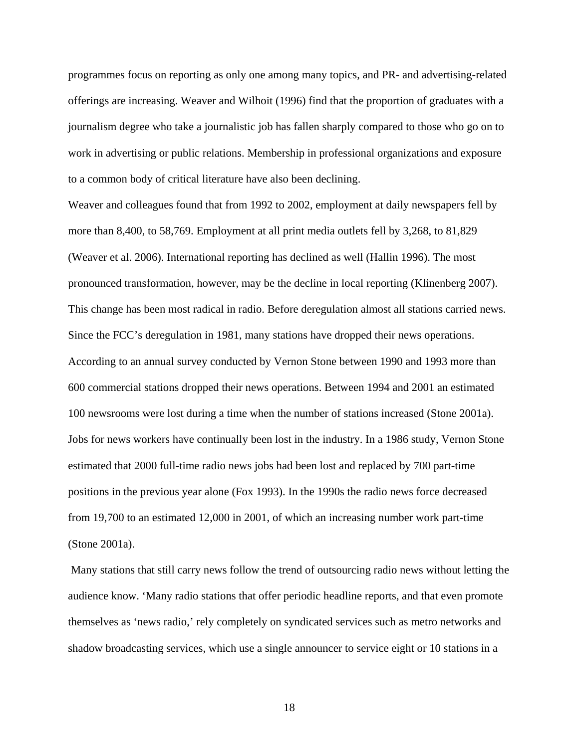programmes focus on reporting as only one among many topics, and PR- and advertising-related offerings are increasing. Weaver and Wilhoit (1996) find that the proportion of graduates with a journalism degree who take a journalistic job has fallen sharply compared to those who go on to work in advertising or public relations. Membership in professional organizations and exposure to a common body of critical literature have also been declining.

Weaver and colleagues found that from 1992 to 2002, employment at daily newspapers fell by more than 8,400, to 58,769. Employment at all print media outlets fell by 3,268, to 81,829 (Weaver et al. 2006). International reporting has declined as well (Hallin 1996). The most pronounced transformation, however, may be the decline in local reporting (Klinenberg 2007). This change has been most radical in radio. Before deregulation almost all stations carried news. Since the FCC's deregulation in 1981, many stations have dropped their news operations. According to an annual survey conducted by Vernon Stone between 1990 and 1993 more than 600 commercial stations dropped their news operations. Between 1994 and 2001 an estimated 100 newsrooms were lost during a time when the number of stations increased (Stone 2001a). Jobs for news workers have continually been lost in the industry. In a 1986 study, Vernon Stone estimated that 2000 full-time radio news jobs had been lost and replaced by 700 part-time positions in the previous year alone (Fox 1993). In the 1990s the radio news force decreased from 19,700 to an estimated 12,000 in 2001, of which an increasing number work part-time (Stone 2001a).

 Many stations that still carry news follow the trend of outsourcing radio news without letting the audience know. 'Many radio stations that offer periodic headline reports, and that even promote themselves as 'news radio,' rely completely on syndicated services such as metro networks and shadow broadcasting services, which use a single announcer to service eight or 10 stations in a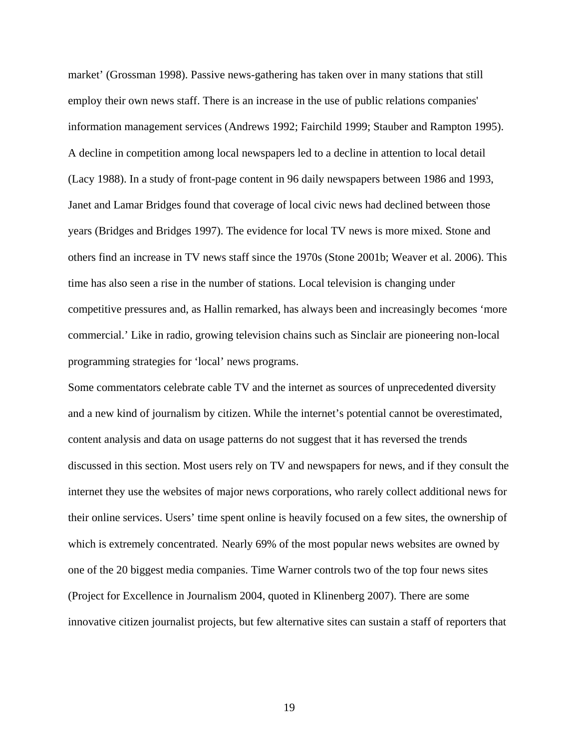market' (Grossman 1998). Passive news-gathering has taken over in many stations that still employ their own news staff. There is an increase in the use of public relations companies' information management services (Andrews 1992; Fairchild 1999; Stauber and Rampton 1995). A decline in competition among local newspapers led to a decline in attention to local detail (Lacy 1988). In a study of front-page content in 96 daily newspapers between 1986 and 1993, Janet and Lamar Bridges found that coverage of local civic news had declined between those years (Bridges and Bridges 1997). The evidence for local TV news is more mixed. Stone and others find an increase in TV news staff since the 1970s (Stone 2001b; Weaver et al. 2006). This time has also seen a rise in the number of stations. Local television is changing under competitive pressures and, as Hallin remarked, has always been and increasingly becomes 'more commercial.' Like in radio, growing television chains such as Sinclair are pioneering non-local programming strategies for 'local' news programs.

Some commentators celebrate cable TV and the internet as sources of unprecedented diversity and a new kind of journalism by citizen. While the internet's potential cannot be overestimated, content analysis and data on usage patterns do not suggest that it has reversed the trends discussed in this section. Most users rely on TV and newspapers for news, and if they consult the internet they use the websites of major news corporations, who rarely collect additional news for their online services. Users' time spent online is heavily focused on a few sites, the ownership of which is extremely concentrated. Nearly 69% of the most popular news websites are owned by one of the 20 biggest media companies. Time Warner controls two of the top four news sites (Project for Excellence in Journalism 2004, quoted in Klinenberg 2007). There are some innovative citizen journalist projects, but few alternative sites can sustain a staff of reporters that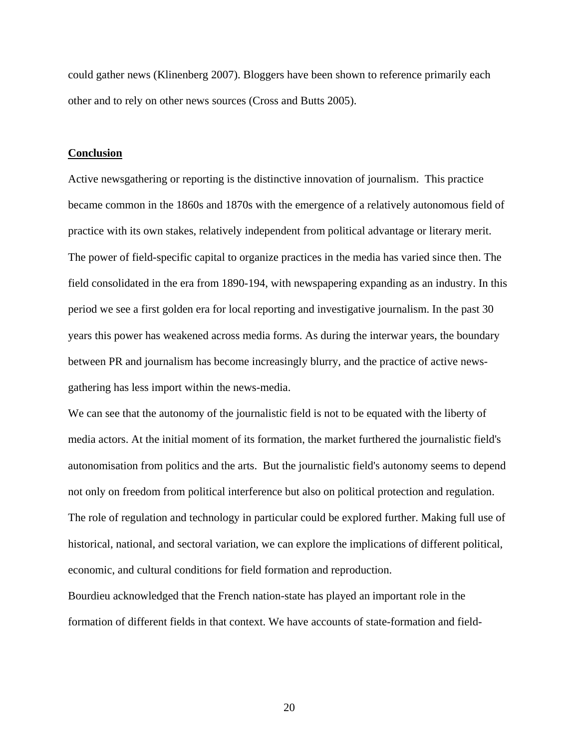could gather news (Klinenberg 2007). Bloggers have been shown to reference primarily each other and to rely on other news sources (Cross and Butts 2005).

#### **Conclusion**

Active newsgathering or reporting is the distinctive innovation of journalism. This practice became common in the 1860s and 1870s with the emergence of a relatively autonomous field of practice with its own stakes, relatively independent from political advantage or literary merit. The power of field-specific capital to organize practices in the media has varied since then. The field consolidated in the era from 1890-194, with newspapering expanding as an industry. In this period we see a first golden era for local reporting and investigative journalism. In the past 30 years this power has weakened across media forms. As during the interwar years, the boundary between PR and journalism has become increasingly blurry, and the practice of active newsgathering has less import within the news-media.

We can see that the autonomy of the journalistic field is not to be equated with the liberty of media actors. At the initial moment of its formation, the market furthered the journalistic field's autonomisation from politics and the arts. But the journalistic field's autonomy seems to depend not only on freedom from political interference but also on political protection and regulation. The role of regulation and technology in particular could be explored further. Making full use of historical, national, and sectoral variation, we can explore the implications of different political, economic, and cultural conditions for field formation and reproduction.

Bourdieu acknowledged that the French nation-state has played an important role in the formation of different fields in that context. We have accounts of state-formation and field-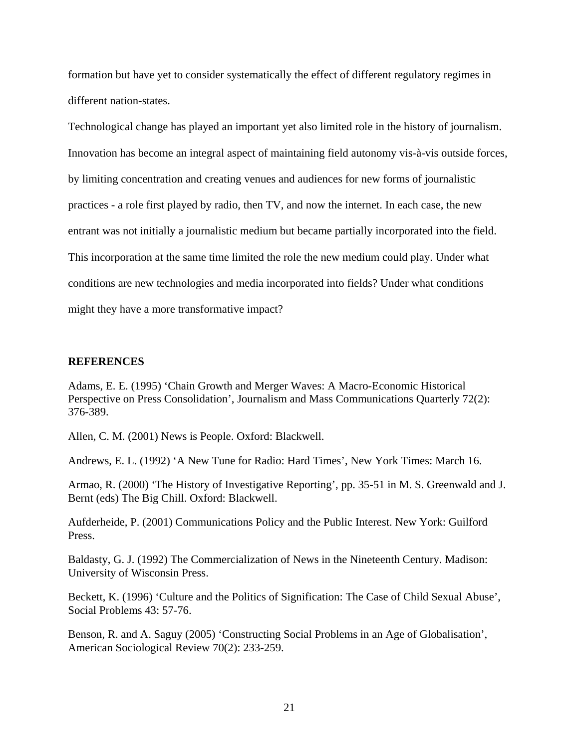formation but have yet to consider systematically the effect of different regulatory regimes in different nation-states.

Technological change has played an important yet also limited role in the history of journalism. Innovation has become an integral aspect of maintaining field autonomy vis-à-vis outside forces, by limiting concentration and creating venues and audiences for new forms of journalistic practices - a role first played by radio, then TV, and now the internet. In each case, the new entrant was not initially a journalistic medium but became partially incorporated into the field. This incorporation at the same time limited the role the new medium could play. Under what conditions are new technologies and media incorporated into fields? Under what conditions might they have a more transformative impact?

## **REFERENCES**

Adams, E. E. (1995) 'Chain Growth and Merger Waves: A Macro-Economic Historical Perspective on Press Consolidation', Journalism and Mass Communications Quarterly 72(2): 376-389.

Allen, C. M. (2001) News is People. Oxford: Blackwell.

Andrews, E. L. (1992) 'A New Tune for Radio: Hard Times', New York Times: March 16.

Armao, R. (2000) 'The History of Investigative Reporting', pp. 35-51 in M. S. Greenwald and J. Bernt (eds) The Big Chill. Oxford: Blackwell.

Aufderheide, P. (2001) Communications Policy and the Public Interest. New York: Guilford Press.

Baldasty, G. J. (1992) The Commercialization of News in the Nineteenth Century. Madison: University of Wisconsin Press.

Beckett, K. (1996) 'Culture and the Politics of Signification: The Case of Child Sexual Abuse', Social Problems 43: 57-76.

Benson, R. and A. Saguy (2005) 'Constructing Social Problems in an Age of Globalisation', American Sociological Review 70(2): 233-259.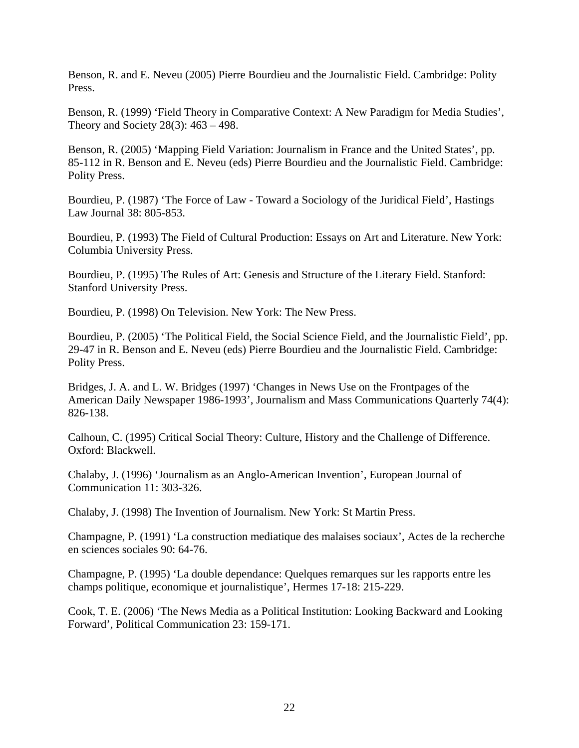Benson, R. and E. Neveu (2005) Pierre Bourdieu and the Journalistic Field. Cambridge: Polity Press.

Benson, R. (1999) 'Field Theory in Comparative Context: A New Paradigm for Media Studies', Theory and Society 28(3): 463 – 498.

Benson, R. (2005) 'Mapping Field Variation: Journalism in France and the United States', pp. 85-112 in R. Benson and E. Neveu (eds) Pierre Bourdieu and the Journalistic Field. Cambridge: Polity Press.

Bourdieu, P. (1987) 'The Force of Law - Toward a Sociology of the Juridical Field', Hastings Law Journal 38: 805-853.

Bourdieu, P. (1993) The Field of Cultural Production: Essays on Art and Literature. New York: Columbia University Press.

Bourdieu, P. (1995) The Rules of Art: Genesis and Structure of the Literary Field. Stanford: Stanford University Press.

Bourdieu, P. (1998) On Television. New York: The New Press.

Bourdieu, P. (2005) 'The Political Field, the Social Science Field, and the Journalistic Field', pp. 29-47 in R. Benson and E. Neveu (eds) Pierre Bourdieu and the Journalistic Field. Cambridge: Polity Press.

Bridges, J. A. and L. W. Bridges (1997) 'Changes in News Use on the Frontpages of the American Daily Newspaper 1986-1993', Journalism and Mass Communications Quarterly 74(4): 826-138.

Calhoun, C. (1995) Critical Social Theory: Culture, History and the Challenge of Difference. Oxford: Blackwell.

Chalaby, J. (1996) 'Journalism as an Anglo-American Invention', European Journal of Communication 11: 303-326.

Chalaby, J. (1998) The Invention of Journalism. New York: St Martin Press.

Champagne, P. (1991) 'La construction mediatique des malaises sociaux', Actes de la recherche en sciences sociales 90: 64-76.

Champagne, P. (1995) 'La double dependance: Quelques remarques sur les rapports entre les champs politique, economique et journalistique', Hermes 17-18: 215-229.

Cook, T. E. (2006) 'The News Media as a Political Institution: Looking Backward and Looking Forward', Political Communication 23: 159-171.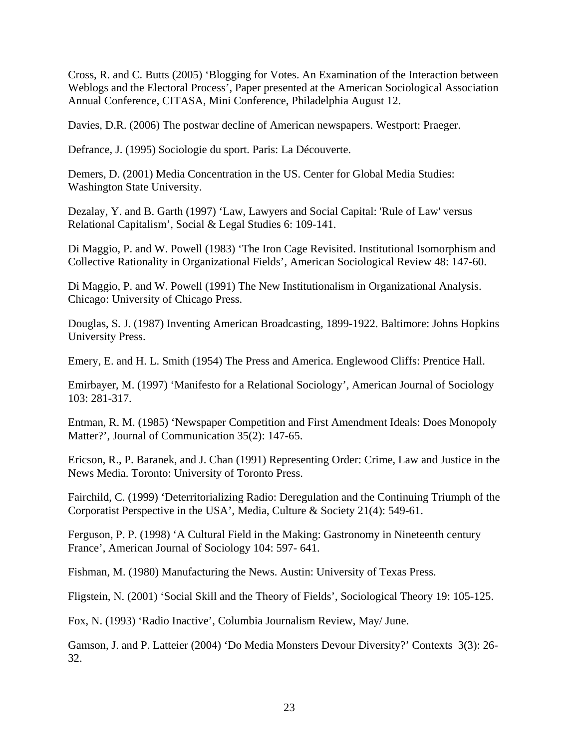Cross, R. and C. Butts (2005) 'Blogging for Votes. An Examination of the Interaction between Weblogs and the Electoral Process', Paper presented at the American Sociological Association Annual Conference, CITASA, Mini Conference, Philadelphia August 12.

Davies, D.R. (2006) The postwar decline of American newspapers. Westport: Praeger.

Defrance, J. (1995) Sociologie du sport. Paris: La Découverte.

Demers, D. (2001) Media Concentration in the US. Center for Global Media Studies: Washington State University.

Dezalay, Y. and B. Garth (1997) 'Law, Lawyers and Social Capital: 'Rule of Law' versus Relational Capitalism', Social & Legal Studies 6: 109-141.

Di Maggio, P. and W. Powell (1983) 'The Iron Cage Revisited. Institutional Isomorphism and Collective Rationality in Organizational Fields', American Sociological Review 48: 147-60.

Di Maggio, P. and W. Powell (1991) The New Institutionalism in Organizational Analysis. Chicago: University of Chicago Press.

Douglas, S. J. (1987) Inventing American Broadcasting, 1899-1922. Baltimore: Johns Hopkins University Press.

Emery, E. and H. L. Smith (1954) The Press and America. Englewood Cliffs: Prentice Hall.

Emirbayer, M. (1997) 'Manifesto for a Relational Sociology', American Journal of Sociology 103: 281-317.

Entman, R. M. (1985) 'Newspaper Competition and First Amendment Ideals: Does Monopoly Matter?', Journal of Communication 35(2): 147-65.

Ericson, R., P. Baranek, and J. Chan (1991) Representing Order: Crime, Law and Justice in the News Media. Toronto: University of Toronto Press.

Fairchild, C. (1999) 'Deterritorializing Radio: Deregulation and the Continuing Triumph of the Corporatist Perspective in the USA', Media, Culture & Society 21(4): 549-61.

Ferguson, P. P. (1998) 'A Cultural Field in the Making: Gastronomy in Nineteenth century France', American Journal of Sociology 104: 597- 641.

Fishman, M. (1980) Manufacturing the News. Austin: University of Texas Press.

Fligstein, N. (2001) 'Social Skill and the Theory of Fields', Sociological Theory 19: 105-125.

Fox, N. (1993) 'Radio Inactive', Columbia Journalism Review, May/ June.

Gamson, J. and P. Latteier (2004) 'Do Media Monsters Devour Diversity?' Contexts 3(3): 26- 32.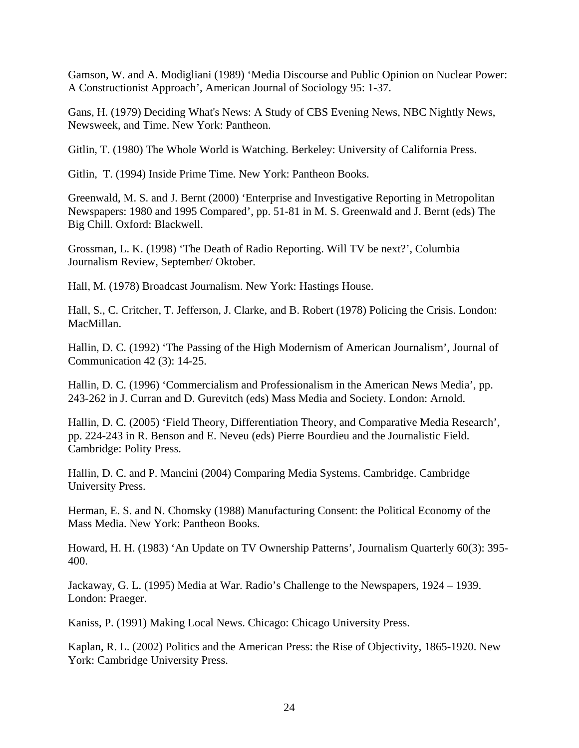Gamson, W. and A. Modigliani (1989) 'Media Discourse and Public Opinion on Nuclear Power: A Constructionist Approach', American Journal of Sociology 95: 1-37.

Gans, H. (1979) Deciding What's News: A Study of CBS Evening News, NBC Nightly News, Newsweek, and Time. New York: Pantheon.

Gitlin, T. (1980) The Whole World is Watching. Berkeley: University of California Press.

Gitlin, T. (1994) Inside Prime Time. New York: Pantheon Books.

Greenwald, M. S. and J. Bernt (2000) 'Enterprise and Investigative Reporting in Metropolitan Newspapers: 1980 and 1995 Compared', pp. 51-81 in M. S. Greenwald and J. Bernt (eds) The Big Chill. Oxford: Blackwell.

Grossman, L. K. (1998) 'The Death of Radio Reporting. Will TV be next?', Columbia Journalism Review, September/ Oktober.

Hall, M. (1978) Broadcast Journalism. New York: Hastings House.

Hall, S., C. Critcher, T. Jefferson, J. Clarke, and B. Robert (1978) Policing the Crisis. London: MacMillan.

Hallin, D. C. (1992) 'The Passing of the High Modernism of American Journalism', Journal of Communication 42 (3): 14-25.

Hallin, D. C. (1996) 'Commercialism and Professionalism in the American News Media', pp. 243-262 in J. Curran and D. Gurevitch (eds) Mass Media and Society. London: Arnold.

Hallin, D. C. (2005) 'Field Theory, Differentiation Theory, and Comparative Media Research', pp. 224-243 in R. Benson and E. Neveu (eds) Pierre Bourdieu and the Journalistic Field. Cambridge: Polity Press.

Hallin, D. C. and P. Mancini (2004) Comparing Media Systems. Cambridge. Cambridge University Press.

Herman, E. S. and N. Chomsky (1988) Manufacturing Consent: the Political Economy of the Mass Media. New York: Pantheon Books.

Howard, H. H. (1983) 'An Update on TV Ownership Patterns', Journalism Quarterly 60(3): 395- 400.

Jackaway, G. L. (1995) Media at War. Radio's Challenge to the Newspapers, 1924 – 1939. London: Praeger.

Kaniss, P. (1991) Making Local News. Chicago: Chicago University Press.

Kaplan, R. L. (2002) Politics and the American Press: the Rise of Objectivity, 1865-1920. New York: Cambridge University Press.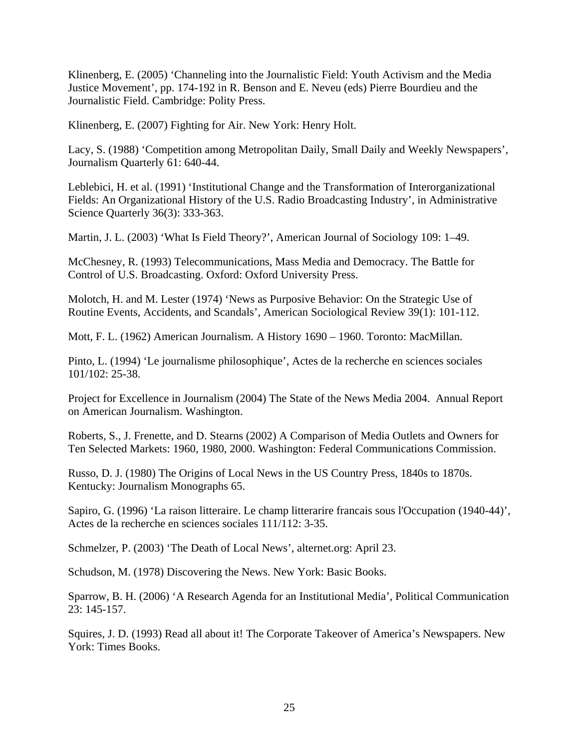Klinenberg, E. (2005) 'Channeling into the Journalistic Field: Youth Activism and the Media Justice Movement', pp. 174-192 in R. Benson and E. Neveu (eds) Pierre Bourdieu and the Journalistic Field. Cambridge: Polity Press.

Klinenberg, E. (2007) Fighting for Air. New York: Henry Holt.

Lacy, S. (1988) 'Competition among Metropolitan Daily, Small Daily and Weekly Newspapers', Journalism Quarterly 61: 640-44.

Leblebici, H. et al. (1991) 'Institutional Change and the Transformation of Interorganizational Fields: An Organizational History of the U.S. Radio Broadcasting Industry', in Administrative Science Quarterly 36(3): 333-363.

Martin, J. L. (2003) 'What Is Field Theory?', American Journal of Sociology 109: 1–49.

McChesney, R. (1993) Telecommunications, Mass Media and Democracy. The Battle for Control of U.S. Broadcasting. Oxford: Oxford University Press.

Molotch, H. and M. Lester (1974) 'News as Purposive Behavior: On the Strategic Use of Routine Events, Accidents, and Scandals', American Sociological Review 39(1): 101-112.

Mott, F. L. (1962) American Journalism. A History 1690 – 1960. Toronto: MacMillan.

Pinto, L. (1994) 'Le journalisme philosophique', Actes de la recherche en sciences sociales 101/102: 25-38.

Project for Excellence in Journalism (2004) The State of the News Media 2004. Annual Report on American Journalism. Washington.

Roberts, S., J. Frenette, and D. Stearns (2002) A Comparison of Media Outlets and Owners for Ten Selected Markets: 1960, 1980, 2000. Washington: Federal Communications Commission.

Russo, D. J. (1980) The Origins of Local News in the US Country Press, 1840s to 1870s. Kentucky: Journalism Monographs 65.

Sapiro, G. (1996) 'La raison litteraire. Le champ litterarire francais sous l'Occupation (1940-44)', Actes de la recherche en sciences sociales 111/112: 3-35.

Schmelzer, P. (2003) 'The Death of Local News', alternet.org: April 23.

Schudson, M. (1978) Discovering the News. New York: Basic Books.

Sparrow, B. H. (2006) 'A Research Agenda for an Institutional Media', Political Communication 23: 145-157.

Squires, J. D. (1993) Read all about it! The Corporate Takeover of America's Newspapers. New York: Times Books.